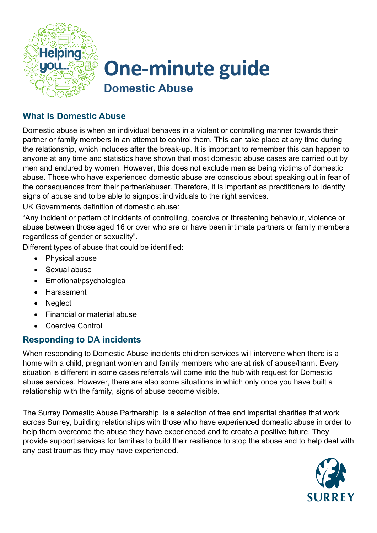

# **One-minute guide Domestic Abuse**

# **What is Domestic Abuse**

Domestic abuse is when an individual behaves in a violent or controlling manner towards their partner or family members in an attempt to control them. This can take place at any time during the relationship, which includes after the break-up. It is important to remember this can happen to anyone at any time and statistics have shown that most domestic abuse cases are carried out by men and endured by women. However, this does not exclude men as being victims of domestic abuse. Those who have experienced domestic abuse are conscious about speaking out in fear of the consequences from their partner/abuser. Therefore, it is important as practitioners to identify signs of abuse and to be able to signpost individuals to the right services.

UK Governments definition of domestic abuse:

"Any incident or pattern of incidents of controlling, coercive or threatening behaviour, violence or abuse between those aged 16 or over who are or have been intimate partners or family members regardless of gender or sexuality".

Different types of abuse that could be identified:

- Physical abuse
- Sexual abuse
- Emotional/psychological
- Harassment
- Neglect
- Financial or material abuse
- Coercive Control

## **Responding to DA incidents**

When responding to Domestic Abuse incidents children services will intervene when there is a home with a child, pregnant women and family members who are at risk of abuse/harm. Every situation is different in some cases referrals will come into the hub with request for Domestic abuse services. However, there are also some situations in which only once you have built a relationship with the family, signs of abuse become visible.

The Surrey Domestic Abuse Partnership, is a selection of free and impartial charities that work across Surrey, building relationships with those who have experienced domestic abuse in order to help them overcome the abuse they have experienced and to create a positive future. They provide support services for families to build their resilience to stop the abuse and to help deal with any past traumas they may have experienced.

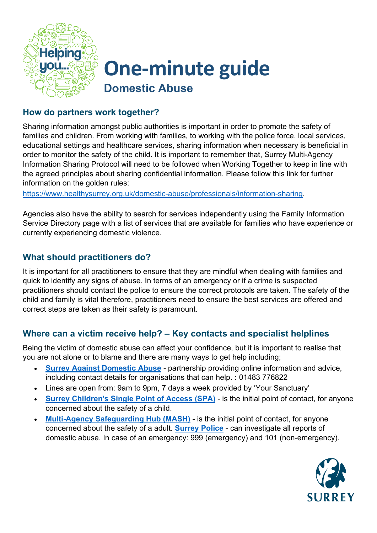

# **One-minute guide Domestic Abuse**

#### **How do partners work together?**

Sharing information amongst public authorities is important in order to promote the safety of families and children. From working with families, to working with the police force, local services, educational settings and healthcare services, sharing information when necessary is beneficial in order to monitor the safety of the child. It is important to remember that, Surrey Multi-Agency Information Sharing Protocol will need to be followed when Working Together to keep in line with the agreed principles about sharing confidential information. Please follow this link for further information on the golden rules:

[https://www.healthysurrey.org.uk/domestic-abuse/professionals/information-sharing.](https://www.healthysurrey.org.uk/domestic-abuse/professionals/information-sharing)

Agencies also have the ability to search for services independently using the Family Information Service Directory page with a list of services that are available for families who have experience or currently experiencing domestic violence.

## **What should practitioners do?**

It is important for all practitioners to ensure that they are mindful when dealing with families and quick to identify any signs of abuse. In terms of an emergency or if a crime is suspected practitioners should contact the police to ensure the correct protocols are taken. The safety of the child and family is vital therefore, practitioners need to ensure the best services are offered and correct steps are taken as their safety is paramount.

## **Where can a victim receive help? – Key contacts and specialist helplines**

Being the victim of domestic abuse can affect your confidence, but it is important to realise that you are not alone or to blame and there are many ways to get help including;

- **[Surrey Against Domestic Abuse](https://www.healthysurrey.org.uk/domestic-abuse)** partnership providing online information and advice, including contact details for organisations that can help. **:** 01483 776822
- Lines are open from: 9am to 9pm, 7 days a week provided by 'Your Sanctuary'
- **[Surrey Children's Single Point of Access \(SPA\)](https://www.surreycc.gov.uk/social-care-and-health/childrens-social-care/contact-childrens-services)** is the initial point of contact, for anyone concerned about the safety of a child.
- **[Multi-Agency Safeguarding Hub \(MASH\)](https://www.surreycc.gov.uk/social-care-and-health/concerned-for-someones-safety)** is the initial point of contact, for anyone concerned about the safety of a adult. **[Surrey Police](https://www.surrey.police.uk/advice/advice-and-information/daa/domestic-abuse/)** - can investigate all reports of domestic abuse. In case of an emergency: 999 (emergency) and 101 (non-emergency).